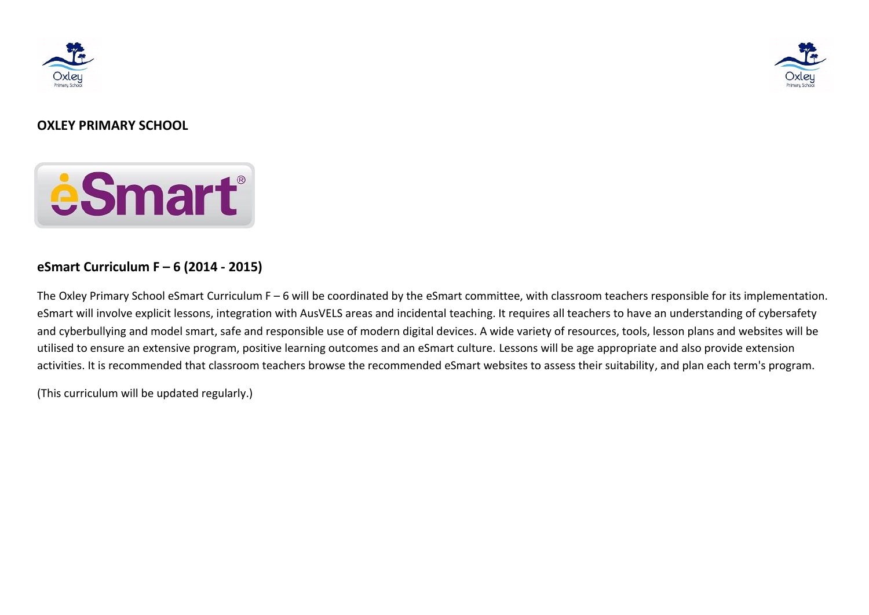



# **OXLEY PRIMARY SCHOOL**



# **eSmart Curriculum F – 6 (2014 - 2015)**

The Oxley Primary School eSmart Curriculum F – 6 will be coordinated by the eSmart committee, with classroom teachers responsible for its implementation. eSmart will involve explicit lessons, integration with AusVELS areas and incidental teaching. It requires all teachers to have an understanding of cybersafety and cyberbullying and model smart, safe and responsible use of modern digital devices. A wide variety of resources, tools, lesson plans and websites will be utilised to ensure an extensive program, positive learning outcomes and an eSmart culture. Lessons will be age appropriate and also provide extension activities. It is recommended that classroom teachers browse the recommended eSmart websites to assess their suitability, and plan each term's program.

(This curriculum will be updated regularly.)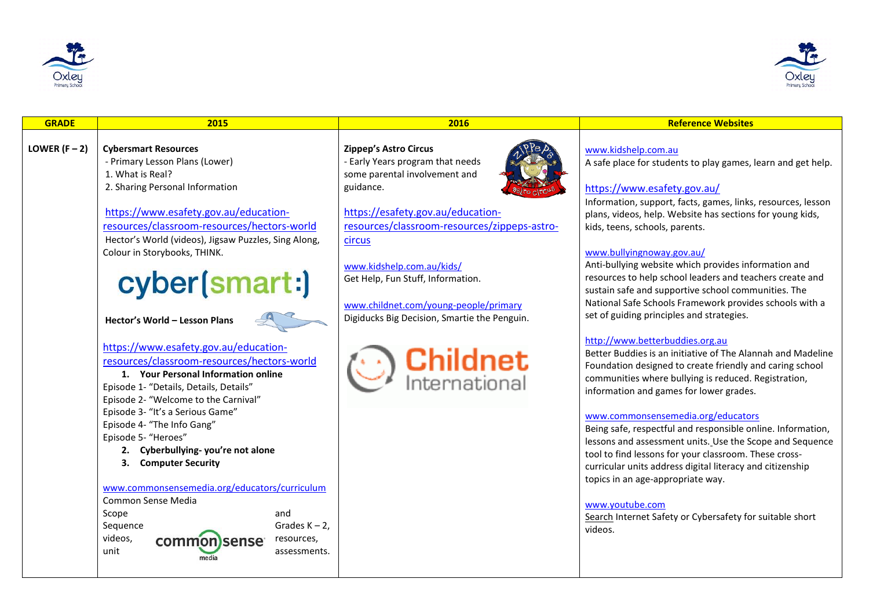



| LOWER $(F - 2)$<br><b>Cybersmart Resources</b><br><b>Zippep's Astro Circus</b><br>www.kidshelp.com.au<br>- Primary Lesson Plans (Lower)<br>- Early Years program that needs<br>A safe place for students to play games, learn and get help.<br>1. What is Real?<br>some parental involvement and<br>2. Sharing Personal Information<br>guidance.<br>https://www.esafety.gov.au/<br>Information, support, facts, games, links, resources, lesson<br>https://www.esafety.gov.au/education-<br>https://esafety.gov.au/education-<br>plans, videos, help. Website has sections for young kids,<br>resources/classroom-resources/hectors-world<br>resources/classroom-resources/zippeps-astro-<br>kids, teens, schools, parents.<br>Hector's World (videos), Jigsaw Puzzles, Sing Along,<br>circus<br>Colour in Storybooks, THINK.<br>www.bullyingnoway.gov.au/<br>Anti-bullying website which provides information and<br>www.kidshelp.com.au/kids/<br>cyber(smart:)<br>resources to help school leaders and teachers create and<br>Get Help, Fun Stuff, Information.<br>sustain safe and supportive school communities. The                                                                                                                                                                                                                                                                                                                                          |
|-------------------------------------------------------------------------------------------------------------------------------------------------------------------------------------------------------------------------------------------------------------------------------------------------------------------------------------------------------------------------------------------------------------------------------------------------------------------------------------------------------------------------------------------------------------------------------------------------------------------------------------------------------------------------------------------------------------------------------------------------------------------------------------------------------------------------------------------------------------------------------------------------------------------------------------------------------------------------------------------------------------------------------------------------------------------------------------------------------------------------------------------------------------------------------------------------------------------------------------------------------------------------------------------------------------------------------------------------------------------------------------------------------------------------------------------------------------------|
| National Safe Schools Framework provides schools with a<br>www.childnet.com/young-people/primary<br>set of guiding principles and strategies.<br>Digiducks Big Decision, Smartie the Penguin.<br>Hector's World - Lesson Plans<br>http://www.betterbuddies.org.au<br>https://www.esafety.gov.au/education-<br>Better Buddies is an initiative of The Alannah and Madeline<br><b>Childnet</b><br>International<br>resources/classroom-resources/hectors-world<br>Foundation designed to create friendly and caring school<br>1. Your Personal Information online<br>communities where bullying is reduced. Registration,<br>Episode 1- "Details, Details, Details"<br>information and games for lower grades.<br>Episode 2- "Welcome to the Carnival"<br>Episode 3- "It's a Serious Game"<br>www.commonsensemedia.org/educators<br>Episode 4- "The Info Gang"<br>Being safe, respectful and responsible online. Information,<br>Episode 5- "Heroes"<br>lessons and assessment units. Use the Scope and Sequence<br>2. Cyberbullying-you're not alone<br>tool to find lessons for your classroom. These cross-<br><b>Computer Security</b><br>3.<br>curricular units address digital literacy and citizenship<br>topics in an age-appropriate way.<br>www.commonsensemedia.org/educators/curriculum<br>Common Sense Media<br>www.voutube.com<br>Scope<br>and<br>Search Internet Safety or Cybersafety for suitable short<br>Sequence<br>Grades $K - 2$ ,<br>videos. |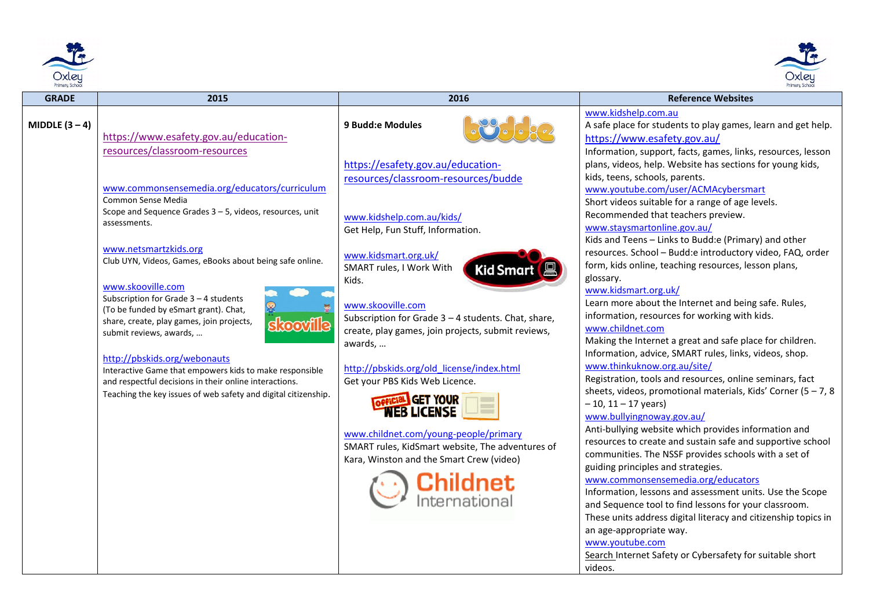



| <b>GRADE</b>   | 2015                                                                                                                                                                                                                                                   | 2016                                                                                                                                                                                                                                                                                    | <b>Reference Websites</b>                                                                                                                                                                                                                                                                                                                                                                                                                                                  |
|----------------|--------------------------------------------------------------------------------------------------------------------------------------------------------------------------------------------------------------------------------------------------------|-----------------------------------------------------------------------------------------------------------------------------------------------------------------------------------------------------------------------------------------------------------------------------------------|----------------------------------------------------------------------------------------------------------------------------------------------------------------------------------------------------------------------------------------------------------------------------------------------------------------------------------------------------------------------------------------------------------------------------------------------------------------------------|
| MIDDLE $(3-4)$ | https://www.esafety.gov.au/education-<br>resources/classroom-resources                                                                                                                                                                                 | 9 Budd:e Modules                                                                                                                                                                                                                                                                        | www.kidshelp.com.au<br>A safe place for students to play games, learn and get help.<br>https://www.esafety.gov.au/<br>Information, support, facts, games, links, resources, lesson                                                                                                                                                                                                                                                                                         |
|                | www.commonsensemedia.org/educators/curriculum<br>Common Sense Media<br>Scope and Sequence Grades $3 - 5$ , videos, resources, unit<br>assessments.<br>www.netsmartzkids.org                                                                            | https://esafety.gov.au/education-<br>resources/classroom-resources/budde<br>www.kidshelp.com.au/kids/<br>Get Help, Fun Stuff, Information.<br>www.kidsmart.org.uk/                                                                                                                      | plans, videos, help. Website has sections for young kids,<br>kids, teens, schools, parents.<br>www.youtube.com/user/ACMAcybersmart<br>Short videos suitable for a range of age levels.<br>Recommended that teachers preview.<br>www.staysmartonline.gov.au/<br>Kids and Teens - Links to Budd:e (Primary) and other<br>resources. School - Budd:e introductory video, FAQ, order                                                                                           |
|                | Club UYN, Videos, Games, eBooks about being safe online.<br>www.skooville.com<br>Subscription for Grade $3 - 4$ students<br>(To be funded by eSmart grant). Chat,<br>share, create, play games, join projects,<br>skooville<br>submit reviews, awards, | SMART rules, I Work With<br>Kid Smart<br>Kids.<br>www.skooville.com<br>Subscription for Grade $3 - 4$ students. Chat, share,<br>create, play games, join projects, submit reviews,<br>awards,                                                                                           | form, kids online, teaching resources, lesson plans,<br>glossary.<br>www.kidsmart.org.uk/<br>Learn more about the Internet and being safe. Rules,<br>information, resources for working with kids.<br>www.childnet.com<br>Making the Internet a great and safe place for children.<br>Information, advice, SMART rules, links, videos, shop.                                                                                                                               |
|                | http://pbskids.org/webonauts<br>Interactive Game that empowers kids to make responsible<br>and respectful decisions in their online interactions.<br>Teaching the key issues of web safety and digital citizenship.                                    | http://pbskids.org/old license/index.html<br>Get your PBS Kids Web Licence.<br><b>GET YOUR</b><br><b><i>NEB LICENSE</i></b><br>www.childnet.com/young-people/primary<br>SMART rules, KidSmart website, The adventures of<br>Kara, Winston and the Smart Crew (video)<br><b>Childnet</b> | www.thinkuknow.org.au/site/<br>Registration, tools and resources, online seminars, fact<br>sheets, videos, promotional materials, Kids' Corner (5 - 7, 8<br>$-10$ , 11 $-17$ years)<br>www.bullyingnoway.gov.au/<br>Anti-bullying website which provides information and<br>resources to create and sustain safe and supportive school<br>communities. The NSSF provides schools with a set of<br>guiding principles and strategies.<br>www.commonsensemedia.org/educators |
|                |                                                                                                                                                                                                                                                        | nternational                                                                                                                                                                                                                                                                            | Information, lessons and assessment units. Use the Scope<br>and Sequence tool to find lessons for your classroom.<br>These units address digital literacy and citizenship topics in<br>an age-appropriate way.<br>www.youtube.com<br>Search Internet Safety or Cybersafety for suitable short<br>videos.                                                                                                                                                                   |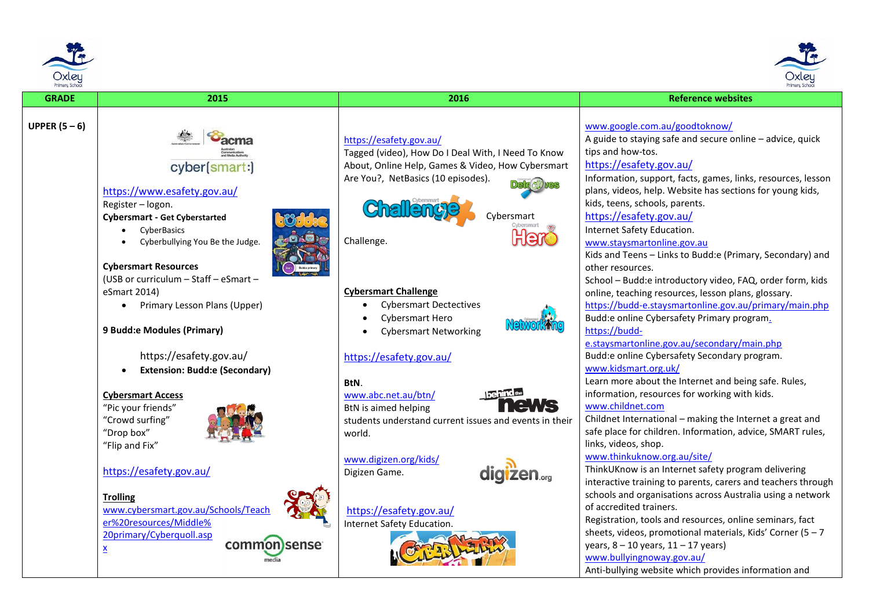